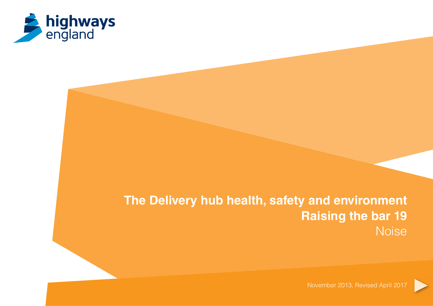

# **The Delivery hub health, safety and environment Raising the bar 19** Noise

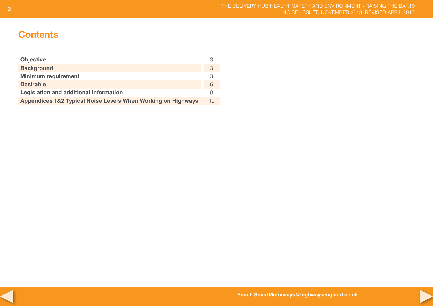## **Contents**

| <b>Objective</b>                                             | 3  |
|--------------------------------------------------------------|----|
| <b>Background</b>                                            | 3  |
| <b>Minimum requirement</b>                                   | 3  |
| <b>Desirable</b>                                             | 6  |
| Legislation and additional information                       | 9  |
| Appendices 1&2 Typical Noise Levels When Working on Highways | 10 |



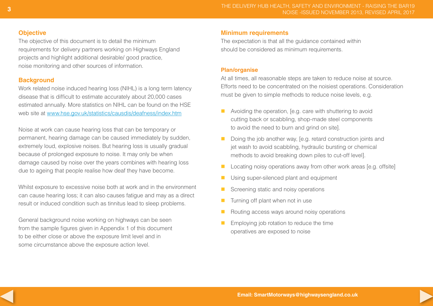## **Objective**

The objective of this document is to detail the minimum requirements for delivery partners working on Highways England projects and highlight additional desirable/ good practice, noise monitoring and other sources of information.

## **Background**

Work related noise induced hearing loss (NIHL) is a long term latency disease that is difficult to estimate accurately about 20,000 cases estimated annually. More statistics on NIHL can be found on the HSE web site at<www.hse.gov.uk/statistics/causdis/deafness/index.htm>

Noise at work can cause hearing loss that can be temporary or permanent, hearing damage can be caused immediately by sudden, extremely loud, explosive noises. But hearing loss is usually gradual because of prolonged exposure to noise. It may only be when damage caused by noise over the years combines with hearing loss due to ageing that people realise how deaf they have become.

Whilst exposure to excessive noise both at work and in the environment can cause hearing loss; it can also causes fatigue and may as a direct result or induced condition such as tinnitus lead to sleep problems.

General background noise working on highways can be seen from the sample figures given in Appendix 1 of this document to be either close or above the exposure limit level and in some circumstance above the exposure action level.

## **Minimum requirements**

The expectation is that all the guidance contained within should be considered as minimum requirements.

## **Plan/organise**

At all times, all reasonable steps are taken to reduce noise at source. Efforts need to be concentrated on the noisiest operations. Consideration must be given to simple methods to reduce noise levels, e.g.

- $\blacksquare$  Avoiding the operation, [e.g. care with shuttering to avoid cutting back or scabbling, shop-made steel components to avoid the need to burn and grind on site].
- Doing the job another way, [e.g. retard construction joints and jet wash to avoid scabbling, hydraulic bursting or chemical methods to avoid breaking down piles to cut-off level].
- $\blacksquare$  Locating noisy operations away from other work areas [e.g. offsite]
- Using super-silenced plant and equipment
- **n** Screening static and noisy operations
- $\blacksquare$  Turning off plant when not in use
- $\blacksquare$  Routing access ways around noisy operations
- $\blacksquare$  Employing job rotation to reduce the time operatives are exposed to noise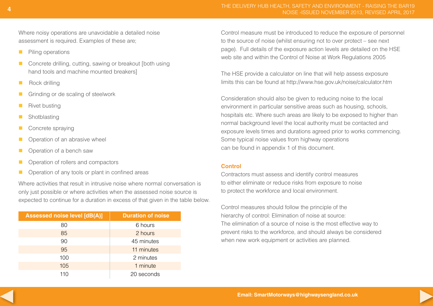Where noisy operations are unavoidable a detailed noise assessment is required. Examples of these are;

- **n** Piling operations
- Concrete drilling, cutting, sawing or breakout [both using hand tools and machine mounted breakers]
- $\blacksquare$  Rock drilling
- **n** Grinding or de scaling of steelwork
- $\blacksquare$  Rivet busting
- **n** Shotblasting
- Concrete spraying
- $\Box$  Operation of an abrasive wheel
- $\blacksquare$  Operation of a bench saw
- Deration of rollers and compactors
- $\Box$  Operation of any tools or plant in confined areas

Where activities that result in intrusive noise where normal conversation is only just possible or where activities when the assessed noise source is expected to continue for a duration in excess of that given in the table below.

| Assessed noise level [dB(A)] | <b>Duration of noise</b> |
|------------------------------|--------------------------|
| 80                           | 6 hours                  |
| 85                           | 2 hours                  |
| 90                           | 45 minutes               |
| 95                           | 11 minutes               |
| 100                          | 2 minutes                |
| 105                          | 1 minute                 |
| 110                          | 20 seconds               |

Control measure must be introduced to reduce the exposure of personnel to the source of noise (whilst ensuring not to over protect – see next page). Full details of the exposure action levels are detailed on the HSE web site and within the Control of Noise at Work Regulations 2005

The HSE provide a calculator on line that will help assess exposure limits this can be found at<http://www.hse.gov.uk/noise/calculator.htm>

Consideration should also be given to reducing noise to the local environment in particular sensitive areas such as housing, schools, hospitals etc. Where such areas are likely to be exposed to higher than normal background level the local authority must be contacted and exposure levels times and durations agreed prior to works commencing. Some typical noise values from highway operations can be found in appendix 1 of this document.

## **Control**

Contractors must assess and identify control measures to either eliminate or reduce risks from exposure to noise to protect the workforce and local environment.

Control measures should follow the principle of the hierarchy of control: Elimination of noise at source: The elimination of a source of noise is the most effective way to prevent risks to the workforce, and should always be considered when new work equipment or activities are planned.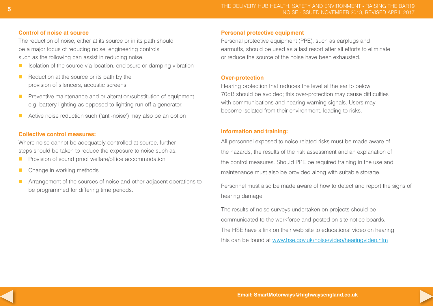#### **Control of noise at source**

The reduction of noise, either at its source or in its path should be a major focus of reducing noise; engineering controls such as the following can assist in reducing noise.

- $\blacksquare$  Isolation of the source via location, enclosure or damping vibration
- $\blacksquare$  Reduction at the source or its path by the provision of silencers, acoustic screens
- **n** Preventive maintenance and or alteration/substitution of equipment e.g. battery lighting as opposed to lighting run off a generator.
- $\blacksquare$  Active noise reduction such ('anti-noise') may also be an option

## **Collective control measures:**

Where noise cannot be adequately controlled at source, further steps should be taken to reduce the exposure to noise such as:

- **n** Provision of sound proof welfare/office accommodation
- $\blacksquare$  Change in working methods
- **n** Arrangement of the sources of noise and other adjacent operations to be programmed for differing time periods.

#### **Personal protective equipment**

Personal protective equipment (PPE), such as earplugs and earmuffs, should be used as a last resort after all efforts to eliminate or reduce the source of the noise have been exhausted.

## **Over-protection**

Hearing protection that reduces the level at the ear to below 70dB should be avoided; this over-protection may cause difficulties with communications and hearing warning signals. Users may become isolated from their environment, leading to risks.

## **Information and training:**

All personnel exposed to noise related risks must be made aware of the hazards, the results of the risk assessment and an explanation of the control measures. Should PPE be required training in the use and maintenance must also be provided along with suitable storage.

Personnel must also be made aware of how to detect and report the signs of hearing damage.

The results of noise surveys undertaken on projects should be communicated to the workforce and posted on site notice boards. The HSE have a link on their web site to educational video on hearing this can be found at <www.hse.gov.uk/noise/video/hearingvideo.htm>

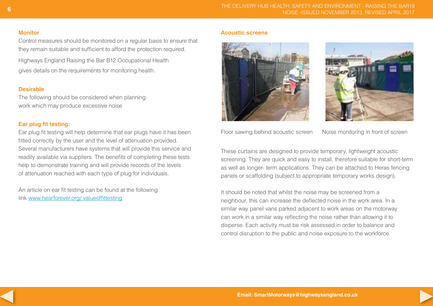#### **Monitor**

Control measures should be monitored on a regular basis to ensure that they remain suitable and sufficient to afford the protection required. Highways England Raising the Bar B12 Occupational Health gives details on the requirements for monitoring health.

#### **Desirable**

The following should be considered when planning work which may produce excessive noise

## **Ear plug fit testing:**

Ear plug fit testing will help determine that ear plugs have it has been fitted correctly by the user and the level of attenuation provided. Several manufacturers have systems that will provide this service and readily available via suppliers. The benefits of completing these tests help to demonstrate training and will provide records of the levels of attenuation reached with each type of plug for individuals.

An article on ear fit testing can be found at the following link<www.hearforever.org>/ valueoffittesting

#### **Acoustic screens**



Floor sawing behind acoustic screen Noise monitoring in front of screen

These curtains are designed to provide temporary, lightweight acoustic screening. They are quick and easy to install, therefore suitable for short-term as well as longer- term applications. They can be attached to Heras fencing panels or scaffolding (subject to appropriate temporary works design).

It should be noted that whilst the noise may be screened from a neighbour, this can increase the deflected noise in the work area. In a similar way panel vans parked adjacent to work areas on the motorway can work in a similar way reflecting the noise rather than allowing it to disperse. Each activity must be risk assessed in order to balance and control disruption to the public and noise exposure to the workforce.



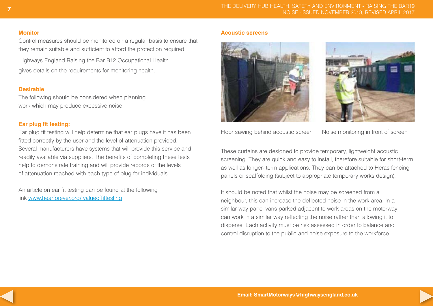#### **Monitor**

Control measures should be monitored on a regular basis to ensure that they remain suitable and sufficient to afford the protection required. Highways England Raising the Bar B12 Occupational Health gives details on the requirements for monitoring health.

## **Desirable**

The following should be considered when planning work which may produce excessive noise

## **Ear plug fit testing:**

Ear plug fit testing will help determine that ear plugs have it has been fitted correctly by the user and the level of attenuation provided. Several manufacturers have systems that will provide this service and readily available via suppliers. The benefits of completing these tests help to demonstrate training and will provide records of the levels of attenuation reached with each type of plug for individuals.

An article on ear fit testing can be found at the following link<www.hearforever.org>/ valueoffittesting

#### **Acoustic screens**





Floor sawing behind acoustic screen Noise monitoring in front of screen

These curtains are designed to provide temporary, lightweight acoustic screening. They are quick and easy to install, therefore suitable for short-term as well as longer- term applications. They can be attached to Heras fencing panels or scaffolding (subject to appropriate temporary works design).

It should be noted that whilst the noise may be screened from a neighbour, this can increase the deflected noise in the work area. In a similar way panel vans parked adjacent to work areas on the motorway can work in a similar way reflecting the noise rather than allowing it to disperse. Each activity must be risk assessed in order to balance and control disruption to the public and noise exposure to the workforce.



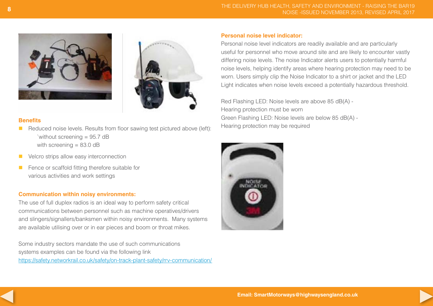



#### **Benefits**

- $\blacksquare$  Reduced noise levels. Results from floor sawing test pictured above (left): `without screening = 95.7 dB with screening  $= 83.0$  dB
- **N** Velcro strips allow easy interconnection
- **n** Fence or scaffold fitting therefore suitable for various activities and work settings

#### **Communication within noisy environments:**

The use of full duplex radios is an ideal way to perform safety critical communications between personnel such as machine operatives/drivers and slingers/signallers/banksmen within noisy environments. Many systems are available utilising over or in ear pieces and boom or throat mikes.

Some industry sectors mandate the use of such communications systems examples can be found via the following link <https://safety.networkrail.co.uk/safety/on-track-plant-safety/rrv>-communication/

#### **Personal noise level indicator:**

Personal noise level indicators are readily available and are particularly useful for personnel who move around site and are likely to encounter vastly differing noise levels. The noise Indicator alerts users to potentially harmful noise levels, helping identify areas where hearing protection may need to be worn. Users simply clip the Noise Indicator to a shirt or jacket and the LED Light indicates when noise levels exceed a potentially hazardous threshold.

Red Flashing LED: Noise levels are above 85 dB(A) - Hearing protection must be worn Green Flashing LED: Noise levels are below 85 dB(A) - Hearing protection may be required



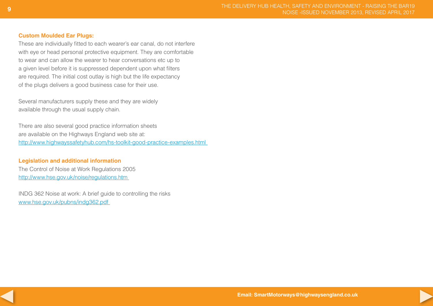## **Custom Moulded Ear Plugs:**

These are individually fitted to each wearer's ear canal, do not interfere with eye or head personal protective equipment. They are comfortable to wear and can allow the wearer to hear conversations etc up to a given level before it is suppressed dependent upon what filters are required. The initial cost outlay is high but the life expectancy of the plugs delivers a good business case for their use.

Several manufacturers supply these and they are widely available through the usual supply chain.

There are also several good practice information sheets are available on the Highways England web site at: <http://www.highwayssafetyhub.com/hs-toolkit-good-practice-examples.html>

## **Legislation and additional information**

The Control of Noise at Work Regulations 2005 <http://www.hse.gov.uk/noise/regulations.htm>

INDG 362 Noise at work: A brief guide to controlling the risks <www.hse.gov.uk/pubns/indg362.pdf>

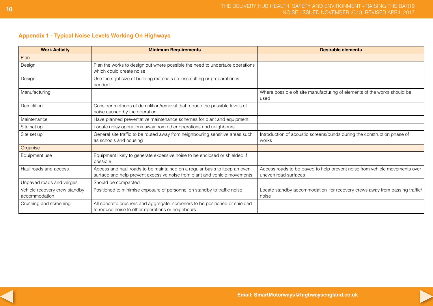## **Appendix 1 - Typical Noise Levels Working On Highways**

| <b>Work Activity</b>                           | <b>Minimum Requirements</b>                                                                                                                             | <b>Desirable elements</b>                                                                          |
|------------------------------------------------|---------------------------------------------------------------------------------------------------------------------------------------------------------|----------------------------------------------------------------------------------------------------|
| Plan                                           |                                                                                                                                                         |                                                                                                    |
| Design                                         | Plan the works to design out where possible the need to undertake operations<br>which could create noise.                                               |                                                                                                    |
| Design                                         | Use the right size of building materials so less cutting or preparation is<br>needed.                                                                   |                                                                                                    |
| Manufacturing                                  |                                                                                                                                                         | Where possible off site manufacturing of elements of the works should be<br>used                   |
| Demolition                                     | Consider methods of demolition/removal that reduce the possible levels of<br>noise caused by the operation                                              |                                                                                                    |
| Maintenance                                    | Have planned preventative maintenance schemes for plant and equipment                                                                                   |                                                                                                    |
| Site set up                                    | Locate noisy operations away from other operations and neighbours                                                                                       |                                                                                                    |
| Site set up                                    | General site traffic to be routed away from neighbouring sensitive areas such<br>as schools and housing                                                 | Introduction of acoustic screens/bunds during the construction phase of<br>works                   |
| Organise                                       |                                                                                                                                                         |                                                                                                    |
| Equipment use                                  | Equipment likely to generate excessive noise to be enclosed or shielded if<br>possible                                                                  |                                                                                                    |
| Haul roads and access                          | Access and haul roads to be maintained on a regular basis to keep an even<br>surface and help prevent excessive noise from plant and vehicle movements. | Access roads to be paved to help prevent noise from vehicle movements over<br>uneven road surfaces |
| Unpaved roads and verges                       | Should be compacted                                                                                                                                     |                                                                                                    |
| Vehicle recovery crew standby<br>accommodation | Positioned to minimise exposure of personnel on standby to traffic noise                                                                                | Locate standby accommodation for recovery crews away from passing traffic/<br>noise                |
| Crushing and screening                         | All concrete crushers and aggregate screeners to be positioned or shielded<br>to reduce noise to other operations or neighbours                         |                                                                                                    |



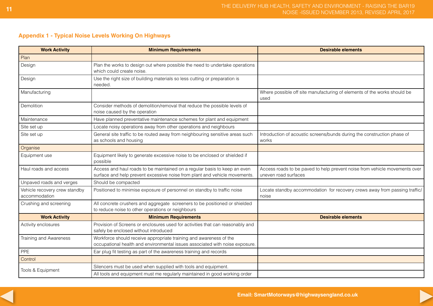## **Appendix 1 - Typical Noise Levels Working On Highways**

| <b>Work Activity</b>                           | <b>Minimum Requirements</b>                                                                                                                             | <b>Desirable elements</b>                                                                          |  |  |  |  |
|------------------------------------------------|---------------------------------------------------------------------------------------------------------------------------------------------------------|----------------------------------------------------------------------------------------------------|--|--|--|--|
| Plan                                           |                                                                                                                                                         |                                                                                                    |  |  |  |  |
| Design                                         | Plan the works to design out where possible the need to undertake operations<br>which could create noise.                                               |                                                                                                    |  |  |  |  |
| Design                                         | Use the right size of building materials so less cutting or preparation is<br>needed.                                                                   |                                                                                                    |  |  |  |  |
| Manufacturing                                  |                                                                                                                                                         | Where possible off site manufacturing of elements of the works should be<br>used                   |  |  |  |  |
| Demolition                                     | Consider methods of demolition/removal that reduce the possible levels of<br>noise caused by the operation                                              |                                                                                                    |  |  |  |  |
| Maintenance                                    | Have planned preventative maintenance schemes for plant and equipment                                                                                   |                                                                                                    |  |  |  |  |
| Site set up                                    | Locate noisy operations away from other operations and neighbours                                                                                       |                                                                                                    |  |  |  |  |
| Site set up                                    | General site traffic to be routed away from neighbouring sensitive areas such<br>as schools and housing                                                 | Introduction of acoustic screens/bunds during the construction phase of<br>works                   |  |  |  |  |
| Organise                                       |                                                                                                                                                         |                                                                                                    |  |  |  |  |
| Equipment use                                  | Equipment likely to generate excessive noise to be enclosed or shielded if<br>possible                                                                  |                                                                                                    |  |  |  |  |
| Haul roads and access                          | Access and haul roads to be maintained on a regular basis to keep an even<br>surface and help prevent excessive noise from plant and vehicle movements. | Access roads to be paved to help prevent noise from vehicle movements over<br>uneven road surfaces |  |  |  |  |
| Unpaved roads and verges                       | Should be compacted                                                                                                                                     |                                                                                                    |  |  |  |  |
| Vehicle recovery crew standby<br>accommodation | Positioned to minimise exposure of personnel on standby to traffic noise                                                                                | Locate standby accommodation for recovery crews away from passing traffic/<br>noise                |  |  |  |  |
| Crushing and screening                         | All concrete crushers and aggregate screeners to be positioned or shielded<br>to reduce noise to other operations or neighbours                         |                                                                                                    |  |  |  |  |
| <b>Work Activity</b>                           | <b>Minimum Requirements</b>                                                                                                                             | <b>Desirable elements</b>                                                                          |  |  |  |  |
| Activity enclosures                            | Provision of Screens or enclosures used for activities that can reasonably and<br>safely be enclosed without introduced                                 |                                                                                                    |  |  |  |  |
| Training and Awareness                         | Workforce should receive appropriate training and awareness of the<br>occupational health and environmental issues associated with noise exposure.      |                                                                                                    |  |  |  |  |
| <b>PPE</b>                                     | Ear plug fit testing as part of the awareness training and records                                                                                      |                                                                                                    |  |  |  |  |
| Control                                        |                                                                                                                                                         |                                                                                                    |  |  |  |  |
|                                                | Silencers must be used when supplied with tools and equipment.                                                                                          |                                                                                                    |  |  |  |  |
| Tools & Equipment                              | All tools and equipment must me regularly maintained in good working order                                                                              |                                                                                                    |  |  |  |  |

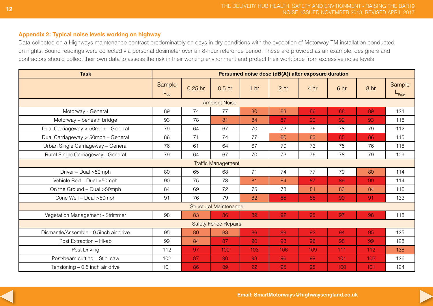## **Appendix 2: Typical noise levels working on highway**

Data collected on a Highways maintenance contract predominately on days in dry conditions with the exception of Motorway TM installation conducted on nights. Sound readings were collected via personal dosimeter over an 8-hour reference period. These are provided as an example, designers and contractors should collect their own data to assess the risk in their working environment and protect their workforce from excessive noise levels

| <b>Task</b>                            | Persumed noise dose (dB(A)) after exposure duration |           |                               |                 |                 |      |      |                 |                 |  |
|----------------------------------------|-----------------------------------------------------|-----------|-------------------------------|-----------------|-----------------|------|------|-----------------|-----------------|--|
|                                        | Sample<br>⊢ <sub>eq</sub>                           | $0.25$ hr | 0.5 <sub>hr</sub>             | 1 <sub>hr</sub> | 2 <sub>hr</sub> | 4 hr | 6 hr | 8 <sub>hr</sub> | Sample<br>-Peak |  |
| <b>Ambient Noise</b>                   |                                                     |           |                               |                 |                 |      |      |                 |                 |  |
| Motorway - General                     | 89                                                  | 74        | 77                            | 80              | 83              | 86   | 88   | 89              | 121             |  |
| Motorway – beneath bridge              | 93                                                  | 78        | 81                            | 84              | 87              | 90   | 92   | 93              | 118             |  |
| Dual Carriageway < 50mph - General     | 79                                                  | 64        | 67                            | 70              | 73              | 76   | 78   | 79              | 112             |  |
| Dual Carriageway > 50mph - General     | 86                                                  | 71        | 74                            | 77              | 80              | 83   | 85   | 86              | 115             |  |
| Urban Single Carriageway - General     | 76                                                  | 61        | 64                            | 67              | 70              | 73   | 75   | 76              | 118             |  |
| Rural Single Carriageway - General     | 79                                                  | 64        | 67                            | 70              | 73              | 76   | 78   | 79              | 109             |  |
| <b>Traffic Management</b>              |                                                     |           |                               |                 |                 |      |      |                 |                 |  |
| Driver - Dual > 50mph                  | 80                                                  | 65        | 68                            | 71              | 74              | 77   | 79   | 80              | 114             |  |
| Vehicle Bed - Dual > 50mph             | 90                                                  | 75        | 78                            | 81              | 84              | 87   | 89   | 90              | 114             |  |
| On the Ground - Dual > 50mph           | 84                                                  | 69        | 72                            | 75              | 78              | 81   | 83   | 84              | 116             |  |
| Cone Well - Dual >50mph                | 91                                                  | 76        | 79                            | 82              | 85              | 88   | 90   | 91              | 133             |  |
|                                        |                                                     |           | <b>Structural Maintenance</b> |                 |                 |      |      |                 |                 |  |
| Vegetation Management - Strimmer       | 98                                                  | 83        | 86                            | 89              | 92              | 95   | 97   | 98              | 118             |  |
|                                        |                                                     |           | <b>Safety Fence Repairs</b>   |                 |                 |      |      |                 |                 |  |
| Dismantle/Assemble - 0.5inch air drive | 95                                                  | 80        | 83                            | 86              | 89              | 92   | 94   | 95              | 125             |  |
| Post Extraction - Hi-ab                | 99                                                  | 84        | 87                            | 90              | 93              | 96   | 98   | 99              | 128             |  |
| Post Driving                           | 112                                                 | 97        | 100                           | 103             | 106             | 109  | 111  | 112             | 138             |  |
| Post/beam cutting - Stihl saw          | 102                                                 | 87        | 90                            | 93              | 96              | 99   | 101  | 102             | 126             |  |
| Tensioning $-0.5$ inch air drive       | 101                                                 | 86        | 89                            | 92              | 95              | 98   | 100  | 101             | 124             |  |



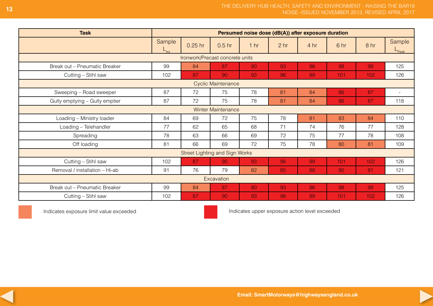| <b>Task</b>                     | Persumed noise dose (dB(A)) after exposure duration |           |                                       |                 |                 |                 |      |                 |                             |  |
|---------------------------------|-----------------------------------------------------|-----------|---------------------------------------|-----------------|-----------------|-----------------|------|-----------------|-----------------------------|--|
|                                 | Sample<br>⊢ <sub>eα</sub>                           | $0.25$ hr | 0.5 <sub>hr</sub>                     | 1 <sub>hr</sub> | 2 <sub>hr</sub> | 4 <sub>hr</sub> | 6 hr | 8 <sub>hr</sub> | Sample<br>$L_{\text{Peak}}$ |  |
| Ironwork/Precast concrete units |                                                     |           |                                       |                 |                 |                 |      |                 |                             |  |
| Break out - Pneumatic Breaker   | 99                                                  | 84        | 87                                    | 90              | 93              | 96              | 98   | 99              | 125                         |  |
| Cutting - Stihl saw             | 102                                                 | 87        | 90                                    | 93              | 96              | 99              | 101  | 102             | 126                         |  |
|                                 |                                                     |           | <b>Cyclic Maintenance</b>             |                 |                 |                 |      |                 |                             |  |
| Sweeping - Road sweeper         | 87                                                  | 72        | 75                                    | 78              | 81              | 84              | 86   | 87              | $\sim$                      |  |
| Gully emptying - Gully emptier  | 87                                                  | 72        | 75                                    | 78              | 81              | 84              | 86   | 87              | 118                         |  |
|                                 |                                                     |           | <b>Winter Maintenance</b>             |                 |                 |                 |      |                 |                             |  |
| Loading - Ministry loader       | 84                                                  | 69        | 72                                    | 75              | 78              | 81              | 83   | 84              | 110                         |  |
| Loading - Telehandler           | 77                                                  | 62        | 65                                    | 68              | 71              | 74              | 76   | 77              | 128                         |  |
| Spreading                       | 78                                                  | 63        | 66                                    | 69              | 72              | 75              | 77   | 78              | 108                         |  |
| Off loading                     | 81                                                  | 66        | 69                                    | 72              | 75              | 78              | 80   | 81              | 109                         |  |
|                                 |                                                     |           | <b>Street Lighting and Sign Works</b> |                 |                 |                 |      |                 |                             |  |
| Cutting - Stihl saw             | 102                                                 | 87        | 90                                    | 93              | 96              | 99              | 101  | 102             | 126                         |  |
| Removal / installation - Hi-ab  | 91                                                  | 76        | 79                                    | 82              | 85              | 88              | 90   | 91              | 121                         |  |
| Excavation                      |                                                     |           |                                       |                 |                 |                 |      |                 |                             |  |
| Break out - Pneumatic Breaker   | 99                                                  | 84        | 87                                    | 90              | 93              | 96              | 98   | 99              | 125                         |  |
| Cutting - Stihl saw             | 102                                                 | 87        | 90                                    | 93              | 96              | 99              | 101  | 102             | 126                         |  |

Indicates exposure limit value exceeded Indicates upper exposure action level exceeded



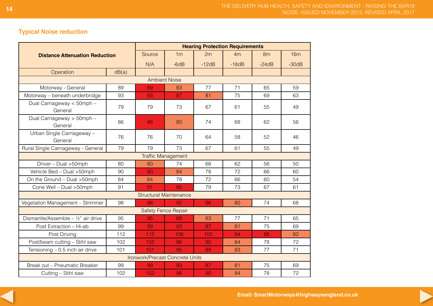## **Typical Noise reduction**

| <b>Distance Attenuation Reduction</b>          |     | <b>Hearing Protection Requirements</b> |                                 |         |         |         |         |  |  |
|------------------------------------------------|-----|----------------------------------------|---------------------------------|---------|---------|---------|---------|--|--|
|                                                |     | Source                                 | 1 <sub>m</sub>                  | 2m      | 4m      | 8m      | 16m     |  |  |
|                                                |     | N/A                                    | $-6dB$                          | $-12dB$ | $-18dB$ | $-24dB$ | $-30dB$ |  |  |
| dB(a)<br>Operation                             |     |                                        |                                 |         |         |         |         |  |  |
|                                                |     |                                        | <b>Ambient Noise</b>            |         |         |         |         |  |  |
| Motorway - General                             | 89  | 89                                     | 83                              | 77      | 71      | 65      | 59      |  |  |
| Motorway - beneath underbridge                 | 93  | 93                                     | 87                              | 81      | 75      | 69      | 63      |  |  |
| Dual Carriageway < 50mph -<br>General          | 79  | 79                                     | 73                              | 67      | 61      | 55      | 49      |  |  |
| Dual Carriageway > 50mph -<br>General          | 86  | 86                                     | 80                              | 74      | 68      | 62      | 56      |  |  |
| Urban Single Carriageway -<br>General          | 76  | 76                                     | 70                              | 64      | 58      | 52      | 46      |  |  |
| Rural Single Carriageway - General             | 79  | 79                                     | 73                              | 67      | 61      | 55      | 49      |  |  |
|                                                |     |                                        | <b>Traffic Management</b>       |         |         |         |         |  |  |
| Driver - Dual > 50mph                          | 80  | 80                                     | 74                              | 68      | 62      | 56      | 50      |  |  |
| Vehicle Bed - Dual > 50mph                     | 90  | 90                                     | 84                              | 78      | 72      | 66      | 60      |  |  |
| On the Ground - Dual > 50mph                   | 84  | 84                                     | 78                              | 72      | 66      | 60      | 54      |  |  |
| Cone Well - Dual >50mph                        | 91  | 91                                     | 85                              | 79      | 73      | 67      | 61      |  |  |
|                                                |     |                                        | <b>Structural Maintenance</b>   |         |         |         |         |  |  |
| Vegetation Management - Strimmer               | 98  | 98                                     | 92                              | 86      | 80      | 74      | 68      |  |  |
|                                                |     |                                        | <b>Safety Fence Repair</b>      |         |         |         |         |  |  |
| Dismantle/Assemble - $\frac{1}{2}$ " air drive | 95  | 95                                     | 89                              | 83      | 77      | 71      | 65      |  |  |
| Post Extraction - Hi-ab                        | 99  | 99                                     | 93                              | 87      | 81      | 75      | 69      |  |  |
| Post Driving                                   | 112 | 112                                    | 106                             | 100     | 94      | 88      | 82      |  |  |
| Post/beam cutting - Stihl saw                  | 102 | 102                                    | 96                              | 90      | 84      | 78      | 72      |  |  |
| Tensioning $-0.5$ inch air drive               | 101 | 101                                    | 95                              | 89      | 83      | 77      | 71      |  |  |
|                                                |     |                                        | Ironwork/Precast Concrete Units |         |         |         |         |  |  |
| Break out - Pneumatic Breaker                  | 99  | 99                                     | 93                              | 87      | 81      | 75      | 69      |  |  |
| Cutting - Stihl saw                            | 102 | 102                                    | 96                              | 90      | 84      | 78      | 72      |  |  |



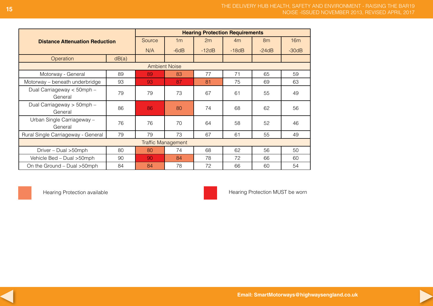|                                       | <b>Hearing Protection Requirements</b> |        |                      |         |         |         |     |  |
|---------------------------------------|----------------------------------------|--------|----------------------|---------|---------|---------|-----|--|
| <b>Distance Attenuation Reduction</b> |                                        | Source | 1 <sub>m</sub>       | 2m      | 4m      | 8m      | 16m |  |
|                                       | N/A                                    | $-6dB$ | $-12dB$              | $-18dB$ | $-24dB$ | $-30dB$ |     |  |
| Operation<br>dB(a)                    |                                        |        |                      |         |         |         |     |  |
|                                       |                                        |        | <b>Ambient Noise</b> |         |         |         |     |  |
| Motorway - General                    | 89                                     | 89     | 83                   | 77      | 71      | 65      | 59  |  |
| Motorway – beneath underbridge        | 93                                     | 93     | 87                   | 81      | 75      | 69      | 63  |  |
| Dual Carriageway < 50mph -<br>General | 79                                     | 79     | 73                   | 67      | 61      | 55      | 49  |  |
| Dual Carriageway > 50mph -<br>General | 86                                     | 86     | 80                   | 74      | 68      | 62      | 56  |  |
| Urban Single Carriageway -<br>General | 76                                     | 76     | 70                   | 64      | 58      | 52      | 46  |  |
| Rural Single Carriageway - General    | 79                                     | 79     | 73                   | 67      | 61      | 55      | 49  |  |
| <b>Traffic Management</b>             |                                        |        |                      |         |         |         |     |  |
| Driver - Dual > 50mph                 | 80                                     | 80     | 74                   | 68      | 62      | 56      | 50  |  |
| Vehicle Bed - Dual > 50mph            | 90                                     | 90     | 84                   | 78      | 72      | 66      | 60  |  |
| On the Ground - Dual > 50mph          | 84                                     | 84     | 78                   | 72      | 66      | 60      | 54  |  |



Hearing Protection available **Hearing Protection available** Hearing Protection MUST be worn